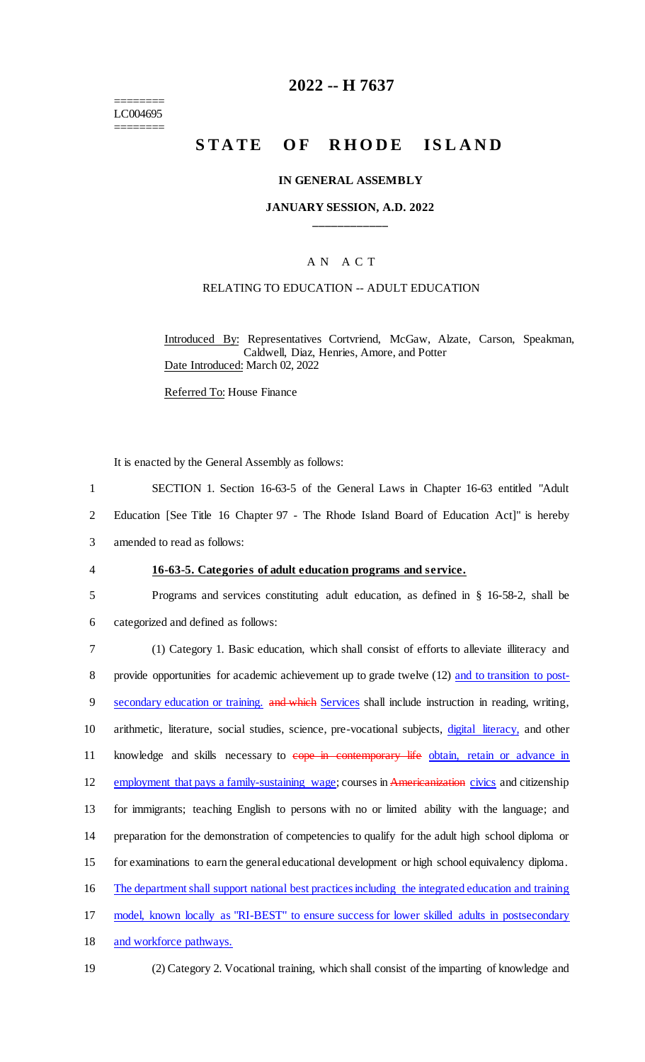======== LC004695 ========

### **2022 -- H 7637**

# **STATE OF RHODE ISLAND**

#### **IN GENERAL ASSEMBLY**

#### **JANUARY SESSION, A.D. 2022 \_\_\_\_\_\_\_\_\_\_\_\_**

### A N A C T

### RELATING TO EDUCATION -- ADULT EDUCATION

Introduced By: Representatives Cortvriend, McGaw, Alzate, Carson, Speakman, Caldwell, Diaz, Henries, Amore, and Potter Date Introduced: March 02, 2022

Referred To: House Finance

It is enacted by the General Assembly as follows:

1 SECTION 1. Section 16-63-5 of the General Laws in Chapter 16-63 entitled "Adult 2 Education [See Title 16 Chapter 97 - The Rhode Island Board of Education Act]" is hereby

3 amended to read as follows:

#### 4 **16-63-5. Categories of adult education programs and service.**

5 Programs and services constituting adult education, as defined in § 16-58-2, shall be

6 categorized and defined as follows:

7 (1) Category 1. Basic education, which shall consist of efforts to alleviate illiteracy and 8 provide opportunities for academic achievement up to grade twelve (12) and to transition to post-9 secondary education or training. and which Services shall include instruction in reading, writing, 10 arithmetic, literature, social studies, science, pre-vocational subjects, digital literacy, and other 11 knowledge and skills necessary to eope in contemporary life obtain, retain or advance in 12 employment that pays a family-sustaining wage; courses in Americanization civics and citizenship 13 for immigrants; teaching English to persons with no or limited ability with the language; and 14 preparation for the demonstration of competencies to qualify for the adult high school diploma or 15 for examinations to earn the general educational development or high school equivalency diploma. 16 The department shall support national best practices including the integrated education and training 17 model, known locally as "RI-BEST" to ensure success for lower skilled adults in postsecondary

- 18 and workforce pathways.
- 
- 19 (2) Category 2. Vocational training, which shall consist of the imparting of knowledge and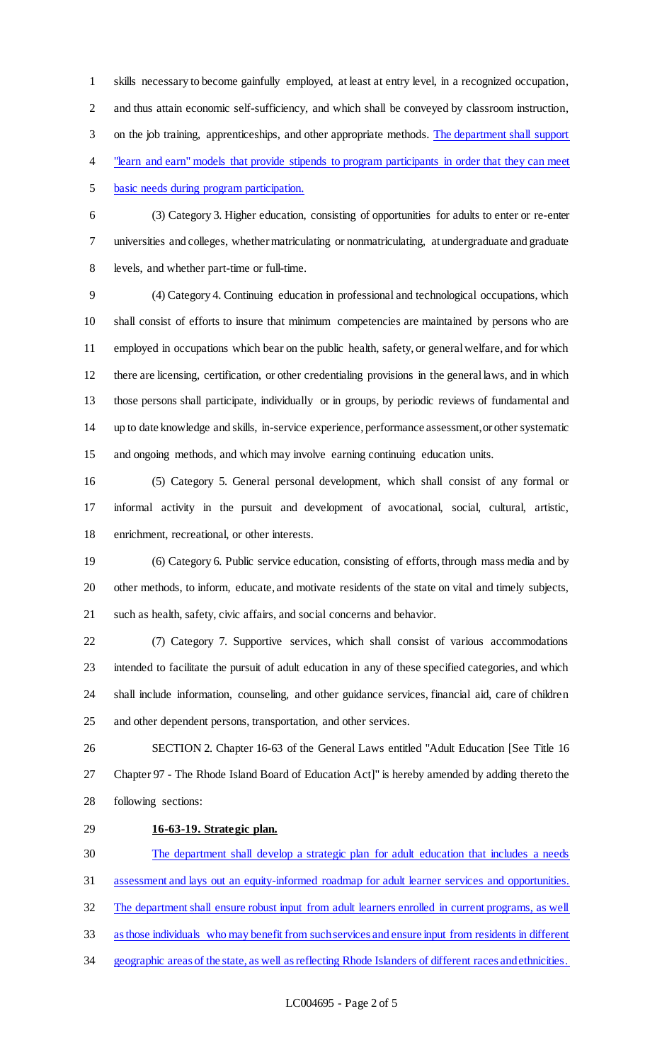skills necessary to become gainfully employed, at least at entry level, in a recognized occupation, and thus attain economic self-sufficiency, and which shall be conveyed by classroom instruction, on the job training, apprenticeships, and other appropriate methods. The department shall support "learn and earn" models that provide stipends to program participants in order that they can meet

basic needs during program participation.

 (3) Category 3. Higher education, consisting of opportunities for adults to enter or re-enter universities and colleges, whether matriculating or nonmatriculating, at undergraduate and graduate levels, and whether part-time or full-time.

 (4) Category 4. Continuing education in professional and technological occupations, which shall consist of efforts to insure that minimum competencies are maintained by persons who are employed in occupations which bear on the public health, safety, or general welfare, and for which there are licensing, certification, or other credentialing provisions in the general laws, and in which those persons shall participate, individually or in groups, by periodic reviews of fundamental and up to date knowledge and skills, in-service experience, performance assessment, or other systematic and ongoing methods, and which may involve earning continuing education units.

 (5) Category 5. General personal development, which shall consist of any formal or informal activity in the pursuit and development of avocational, social, cultural, artistic, enrichment, recreational, or other interests.

 (6) Category 6. Public service education, consisting of efforts, through mass media and by other methods, to inform, educate, and motivate residents of the state on vital and timely subjects, such as health, safety, civic affairs, and social concerns and behavior.

 (7) Category 7. Supportive services, which shall consist of various accommodations intended to facilitate the pursuit of adult education in any of these specified categories, and which shall include information, counseling, and other guidance services, financial aid, care of children and other dependent persons, transportation, and other services.

 SECTION 2. Chapter 16-63 of the General Laws entitled "Adult Education [See Title 16 Chapter 97 - The Rhode Island Board of Education Act]" is hereby amended by adding thereto the following sections:

## **16-63-19. Strategic plan.**

 The department shall develop a strategic plan for adult education that includes a needs assessment and lays out an equity-informed roadmap for adult learner services and opportunities. The department shall ensure robust input from adult learners enrolled in current programs, as well as those individuals who may benefit from such services and ensure input from residents in different 34 geographic areas of the state, as well as reflecting Rhode Islanders of different races and ethnicities.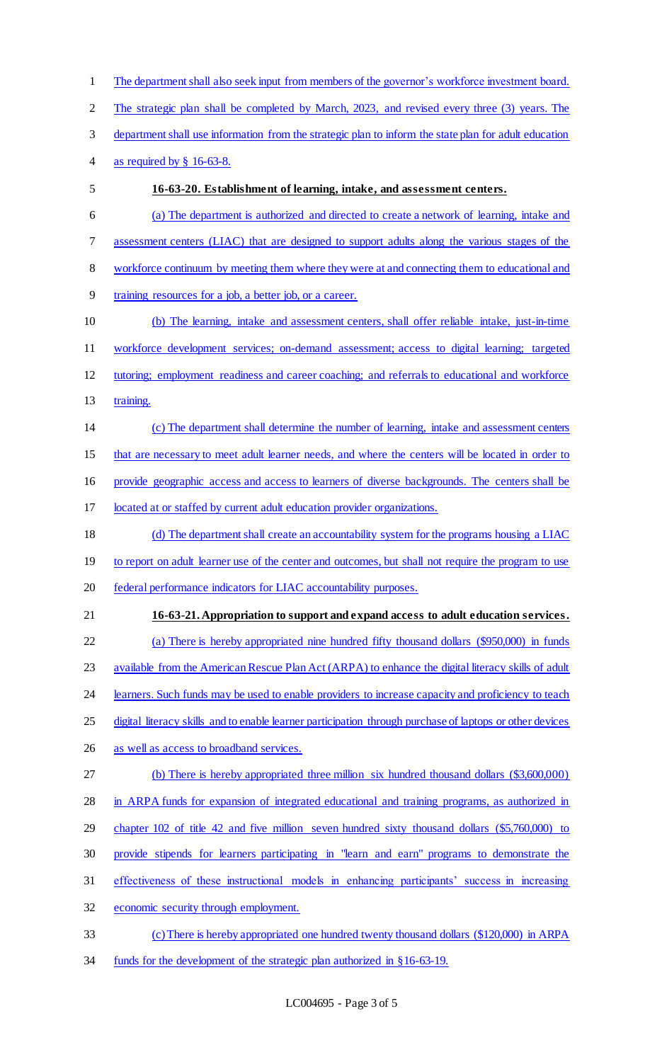The department shall also seek input from members of the governor's workforce investment board. The strategic plan shall be completed by March, 2023, and revised every three (3) years. The department shall use information from the strategic plan to inform the state plan for adult education as required by § 16-63-8. **16-63-20. Establishment of learning, intake, and assessment centers.**  (a) The department is authorized and directed to create a network of learning, intake and assessment centers (LIAC) that are designed to support adults along the various stages of the workforce continuum by meeting them where they were at and connecting them to educational and training resources for a job, a better job, or a career. (b) The learning, intake and assessment centers, shall offer reliable intake, just-in-time workforce development services; on-demand assessment; access to digital learning; targeted tutoring; employment readiness and career coaching; and referrals to educational and workforce training. (c) The department shall determine the number of learning, intake and assessment centers that are necessary to meet adult learner needs, and where the centers will be located in order to provide geographic access and access to learners of diverse backgrounds. The centers shall be located at or staffed by current adult education provider organizations. (d) The department shall create an accountability system for the programs housing a LIAC 19 to report on adult learner use of the center and outcomes, but shall not require the program to use federal performance indicators for LIAC accountability purposes. **16-63-21. Appropriation to support and expand access to adult education services.**  (a) There is hereby appropriated nine hundred fifty thousand dollars (\$950,000) in funds 23 available from the American Rescue Plan Act (ARPA) to enhance the digital literacy skills of adult 24 learners. Such funds may be used to enable providers to increase capacity and proficiency to teach digital literacy skills and to enable learner participation through purchase of laptops or other devices as well as access to broadband services. (b) There is hereby appropriated three million six hundred thousand dollars (\$3,600,000) 28 in ARPA funds for expansion of integrated educational and training programs, as authorized in chapter 102 of title 42 and five million seven hundred sixty thousand dollars (\$5,760,000) to provide stipends for learners participating in "learn and earn" programs to demonstrate the effectiveness of these instructional models in enhancing participants' success in increasing economic security through employment. (c) There is hereby appropriated one hundred twenty thousand dollars (\$120,000) in ARPA

funds for the development of the strategic plan authorized in §16-63-19.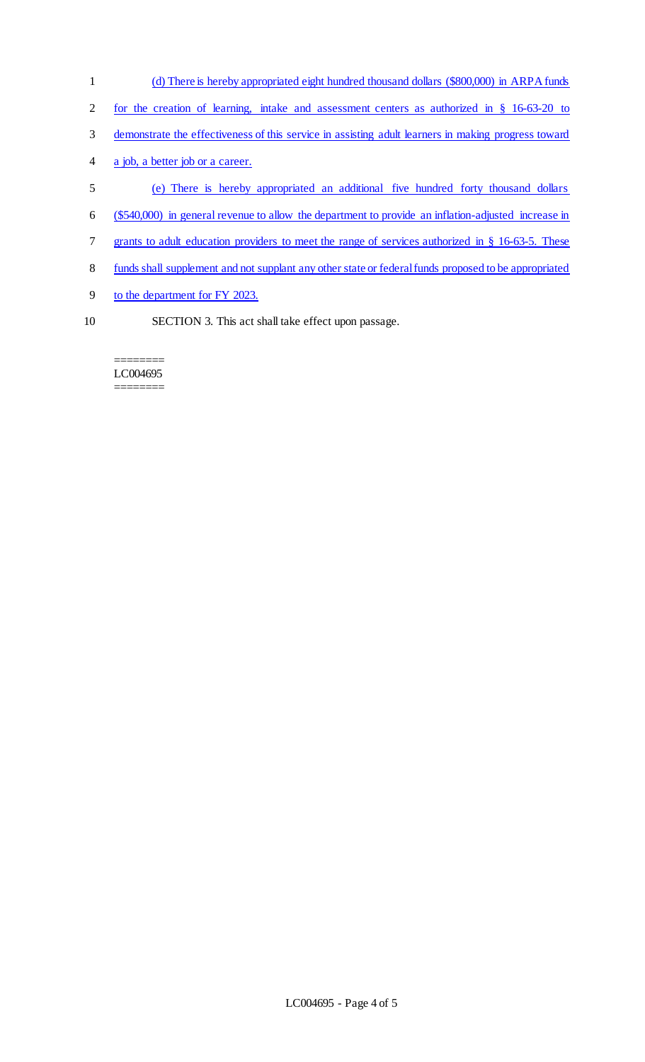- (d) There is hereby appropriated eight hundred thousand dollars (\$800,000) in ARPA funds for the creation of learning, intake and assessment centers as authorized in § 16-63-20 to demonstrate the effectiveness of this service in assisting adult learners in making progress toward a job, a better job or a career. (e) There is hereby appropriated an additional five hundred forty thousand dollars (\$540,000) in general revenue to allow the department to provide an inflation-adjusted increase in 7 grants to adult education providers to meet the range of services authorized in § 16-63-5. These funds shall supplement and not supplant any other state or federalfunds proposed to be appropriated to the department for FY 2023.
- 
- SECTION 3. This act shall take effect upon passage.

======== LC004695 ========